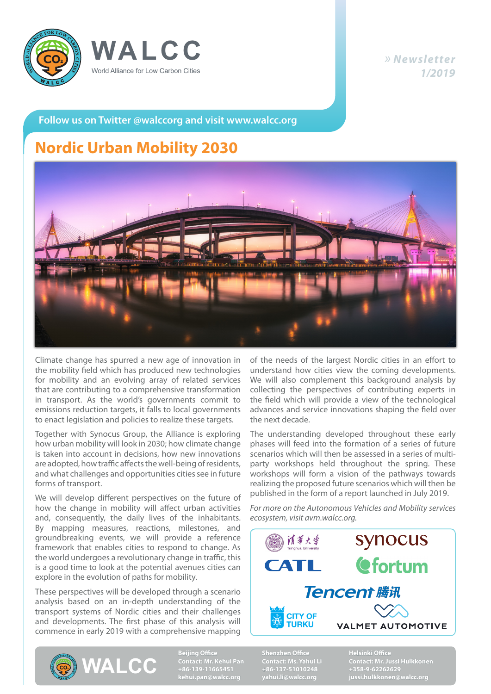



#### *» Newsletter 1/2019*

**Follow us on Twitter @walccorg and visit www.walcc.org**

## **Nordic Urban Mobility 2030**



Climate change has spurred a new age of innovation in the mobility field which has produced new technologies for mobility and an evolving array of related services that are contributing to a comprehensive transformation in transport. As the world's governments commit to emissions reduction targets, it falls to local governments to enact legislation and policies to realize these targets.

Together with Synocus Group, the Alliance is exploring how urban mobility will look in 2030; how climate change is taken into account in decisions, how new innovations are adopted, how traffic affects the well-being of residents, and what challenges and opportunities cities see in future forms of transport.

We will develop different perspectives on the future of how the change in mobility will affect urban activities and, consequently, the daily lives of the inhabitants. By mapping measures, reactions, milestones, and groundbreaking events, we will provide a reference framework that enables cities to respond to change. As the world undergoes a revolutionary change in traffic, this is a good time to look at the potential avenues cities can explore in the evolution of paths for mobility.

These perspectives will be developed through a scenario analysis based on an in-depth understanding of the transport systems of Nordic cities and their challenges and developments. The first phase of this analysis will commence in early 2019 with a comprehensive mapping

of the needs of the largest Nordic cities in an effort to understand how cities view the coming developments. We will also complement this background analysis by collecting the perspectives of contributing experts in the field which will provide a view of the technological advances and service innovations shaping the field over the next decade.

The understanding developed throughout these early phases will feed into the formation of a series of future scenarios which will then be assessed in a series of multiparty workshops held throughout the spring. These workshops will form a vision of the pathways towards realizing the proposed future scenarios which will then be published in the form of a report launched in July 2019.

*For more on the Autonomous Vehicles and Mobility services ecosystem, visit avm.walcc.org.*





**Beijing Office Contact: Mr. Kehui Pan +86-139-11665451 kehui.pan@walcc.org**

**Shenzhen Office +86-137-51010248 yahui.li@walcc.org** **Helsinki Office +358-9-62262629**